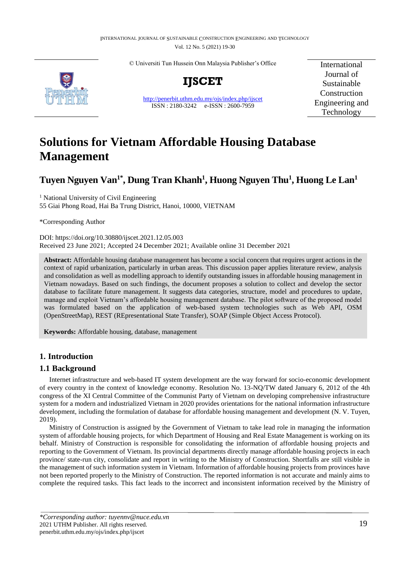© Universiti Tun Hussein Onn Malaysia Publisher's Office



**IJSCET**

<http://penerbit.uthm.edu.my/ojs/index.php/ijscet> ISSN : 2180-3242 e-ISSN : 2600-7959

International Journal of Sustainable Construction Engineering and Technology

# **Solutions for Vietnam Affordable Housing Database Management**

## **Tuyen Nguyen Van1\*, Dung Tran Khanh<sup>1</sup> , Huong Nguyen Thu<sup>1</sup> , Huong Le Lan<sup>1</sup>**

<sup>1</sup> National University of Civil Engineering 55 Giai Phong Road, Hai Ba Trung District, Hanoi, 10000, VIETNAM

\*Corresponding Author

DOI: https://doi.org/10.30880/ijscet.2021.12.05.003 Received 23 June 2021; Accepted 24 December 2021; Available online 31 December 2021

**Abstract:** Affordable housing database management has become a social concern that requires urgent actions in the context of rapid urbanization, particularly in urban areas. This discussion paper applies literature review, analysis and consolidation as well as modelling approach to identify outstanding issues in affordable housing management in Vietnam nowadays. Based on such findings, the document proposes a solution to collect and develop the sector database to facilitate future management. It suggests data categories, structure, model and procedures to update, manage and exploit Vietnam's affordable housing management database. The pilot software of the proposed model was formulated based on the application of web-based system technologies such as Web API, OSM (OpenStreetMap), REST (REpresentational State Transfer), SOAP (Simple Object Access Protocol).

**Keywords:** Affordable housing, database, management

### **1. Introduction**

#### **1.1 Background**

Internet infrastructure and web-based IT system development are the way forward for socio-economic development of every country in the context of knowledge economy. Resolution No. 13-NQ/TW dated January 6, 2012 of the 4th congress of the XI Central Committee of the Communist Party of Vietnam on developing comprehensive infrastructure system for a modern and industrialized Vietnam in 2020 provides orientations for the national information infrastructure development, including the formulation of database for affordable housing management and development (N. V. Tuyen, 2019).

Ministry of Construction is assigned by the Government of Vietnam to take lead role in managing the information system of affordable housing projects, for which Department of Housing and Real Estate Management is working on its behalf. Ministry of Construction is responsible for consolidating the information of affordable housing projects and reporting to the Government of Vietnam. Its provincial departments directly manage affordable housing projects in each province/ state-run city, consolidate and report in writing to the Ministry of Construction. Shortfalls are still visible in the management of such information system in Vietnam. Information of affordable housing projects from provinces have not been reported properly to the Ministry of Construction. The reported information is not accurate and mainly aims to complete the required tasks. This fact leads to the incorrect and inconsistent information received by the Ministry of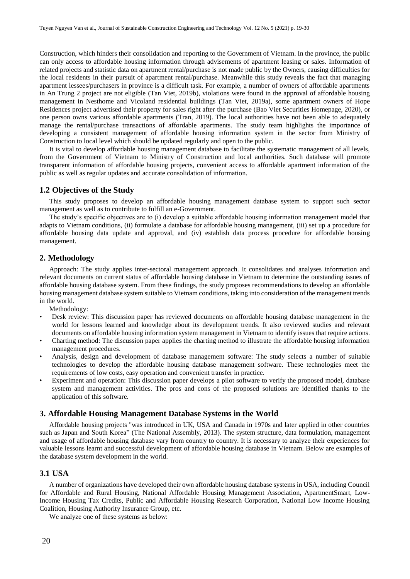Construction, which hinders their consolidation and reporting to the Government of Vietnam. In the province, the public can only access to affordable housing information through advisements of apartment leasing or sales. Information of related projects and statistic data on apartment rental/purchase is not made public by the Owners, causing difficulties for the local residents in their pursuit of apartment rental/purchase. Meanwhile this study reveals the fact that managing apartment lessees/purchasers in province is a difficult task. For example, a number of owners of affordable apartments in An Trung 2 project are not eligible (Tan Viet, 2019b), violations were found in the approval of affordable housing management in Nesthome and Vicoland residential buildings (Tan Viet, 2019a), some apartment owners of Hope Residences project advertised their property for sales right after the purchase (Bao Viet Securities Homepage, 2020), or one person owns various affordable apartments (Tran, 2019). The local authorities have not been able to adequately manage the rental/purchase transactions of affordable apartments. The study team highlights the importance of developing a consistent management of affordable housing information system in the sector from Ministry of Construction to local level which should be updated regularly and open to the public.

It is vital to develop affordable housing management database to facilitate the systematic management of all levels, from the Government of Vietnam to Ministry of Construction and local authorities. Such database will promote transparent information of affordable housing projects, convenient access to affordable apartment information of the public as well as regular updates and accurate consolidation of information.

#### **1.2 Objectives of the Study**

This study proposes to develop an affordable housing management database system to support such sector management as well as to contribute to fulfill an e-Government.

The study's specific objectives are to (i) develop a suitable affordable housing information management model that adapts to Vietnam conditions, (ii) formulate a database for affordable housing management, (iii) set up a procedure for affordable housing data update and approval, and (iv) establish data process procedure for affordable housing management.

#### **2. Methodology**

Approach: The study applies inter-sectoral management approach. It consolidates and analyses information and relevant documents on current status of affordable housing database in Vietnam to determine the outstanding issues of affordable housing database system. From these findings, the study proposes recommendations to develop an affordable housing management database system suitable to Vietnam conditions, taking into consideration of the management trends in the world.

Methodology:

- Desk review: This discussion paper has reviewed documents on affordable housing database management in the world for lessons learned and knowledge about its development trends. It also reviewed studies and relevant documents on affordable housing information system management in Vietnam to identify issues that require actions.
- Charting method: The discussion paper applies the charting method to illustrate the affordable housing information management procedures.
- Analysis, design and development of database management software: The study selects a number of suitable technologies to develop the affordable housing database management software. These technologies meet the requirements of low costs, easy operation and convenient transfer in practice.
- Experiment and operation: This discussion paper develops a pilot software to verify the proposed model, database system and management activities. The pros and cons of the proposed solutions are identified thanks to the application of this software.

#### **3. Affordable Housing Management Database Systems in the World**

Affordable housing projects "was introduced in UK, USA and Canada in 1970s and later applied in other countries such as Japan and South Korea" (The National Assembly, 2013). The system structure, data formulation, management and usage of affordable housing database vary from country to country. It is necessary to analyze their experiences for valuable lessons learnt and successful development of affordable housing database in Vietnam. Below are examples of the database system development in the world.

#### **3.1 USA**

A number of organizations have developed their own affordable housing database systems in USA, including Council for Affordable and Rural Housing, National Affordable Housing Management Association, ApartmentSmart, Low-Income Housing Tax Credits, Public and Affordable Housing Research Corporation, National Low Income Housing Coalition, Housing Authority Insurance Group, etc.

We analyze one of these systems as below: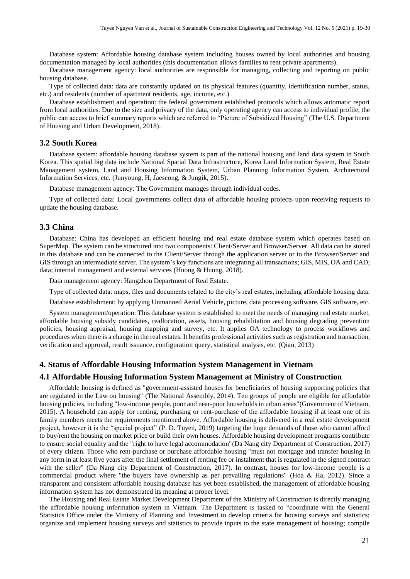Database system: Affordable housing database system including houses owned by local authorities and housing documentation managed by local authorities (this documentation allows families to rent private apartments).

Database management agency: local authorities are responsible for managing, collecting and reporting on public housing database.

Type of collected data: data are constantly updated on its physical features (quantity, identification number, status, etc.) and residents (number of apartment residents, age, income, etc.)

Database establishment and operation: the federal government established protocols which allows automatic report from local authorities. Due to the size and privacy of the data, only operating agency can access to individual profile, the public can access to brief summary reports which are referred to "Picture of Subsidized Housing" (The U.S. Department of Housing and Urban Development, 2018).

#### **3.2 South Korea**

Database system: affordable housing database system is part of the national housing and land data system in South Korea. This spatial big data include National Spatial Data Infrastructure, Korea Land Information System, Real Estate Management system, Land and Housing Information System, Urban Planning Information System, Architectural Information Services, etc. (Junyoung, H, Jaeseong, & Jungik, 2015).

Database management agency: The Government manages through individual codes.

Type of collected data: Local governments collect data of affordable housing projects upon receiving requests to update the housing database.

#### **3.3 China**

Database: China has developed an efficient housing and real estate database system which operates based on SuperMap. The system can be structured into two components: Client/Server and Browser/Server. All data can be stored in this database and can be connected to the Client/Server through the application server or to the Browser/Server and GIS through an intermediate server. The system's key functions are integrating all transactions; GIS, MIS, OA and CAD; data; internal management and external services (Huong & Huong, 2018).

Data management agency: Hangzhou Department of Real Estate.

Type of collected data: maps, files and documents related to the city's real estates, including affordable housing data.

Database establishment: by applying Unmanned Aerial Vehicle, picture, data processing software, GIS software, etc.

System management/operation: This database system is established to meet the needs of managing real estate market, affordable housing subsidy candidates, reallocation, assets, housing rehabilitation and housing degrading prevention policies, housing appraisal, housing mapping and survey, etc. It applies OA technology to process workflows and procedures when there is a change in the real estates. It benefits professional activities such as registration and transaction, verification and approval, result issuance, configuration query, statistical analysis, etc. (Qian, 2013)

#### **4. Status of Affordable Housing Information System Management in Vietnam**

#### **4.1 Affordable Housing Information System Management at Ministry of Construction**

Affordable housing is defined as "government-assisted houses for beneficiaries of housing supporting policies that are regulated in the Law on housing" (The National Assembly, 2014). Ten groups of people are eligible for affordable housing policies, including "low-income people, poor and near-poor households in urban areas"(Government of Vietnam, 2015). A household can apply for renting, purchasing or rent-purchase of the affordable housing if at least one of its family members meets the requirements mentioned above. Affordable housing is delivered in a real estate development project, however it is the "special project" (P. D. Tuyen, 2019) targeting the huge demands of those who cannot afford to buy/rent the housing on market price or build their own houses. Affordable housing development programs contribute to ensure social equality and the "right to have legal accommodation"(Da Nang city Department of Construction, 2017) of every citizen. Those who rent-purchase or purchase affordable housing "must not mortgage and transfer housing in any form in at least five years after the final settlement of renting fee or instalment that is regulated in the signed contract with the seller" (Da Nang city Department of Construction, 2017). In contrast, houses for low-income people is a commercial product where "the buyers have ownership as per prevailing regulations" (Hoa & Ha, 2012). Since a transparent and consistent affordable housing database has yet been established, the management of affordable housing information system has not demonstrated its meaning at proper level.

The Housing and Real Estate Market Development Department of the Ministry of Construction is directly managing the affordable housing information system in Vietnam. The Department is tasked to "coordinate with the General Statistics Office under the Ministry of Planning and Investment to develop criteria for housing surveys and statistics; organize and implement housing surveys and statistics to provide inputs to the state management of housing; compile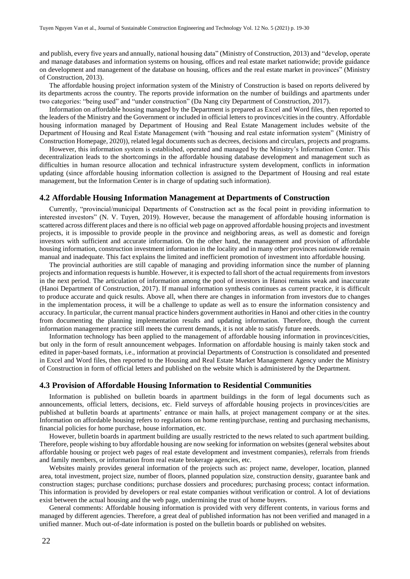and publish, every five years and annually, national housing data" (Ministry of Construction, 2013) and "develop, operate and manage databases and information systems on housing, offices and real estate market nationwide; provide guidance on development and management of the database on housing, offices and the real estate market in provinces" (Ministry of Construction, 2013).

The affordable housing project information system of the Ministry of Construction is based on reports delivered by its departments across the country. The reports provide information on the number of buildings and apartments under two categories: "being used" and "under construction" (Da Nang city Department of Construction, 2017).

Information on affordable housing managed by the Department is prepared as Excel and Word files, then reported to the leaders of the Ministry and the Government or included in official letters to provinces/cities in the country. Affordable housing information managed by Department of Housing and Real Estate Management includes website of the Department of Housing and Real Estate Management (with "housing and real estate information system" (Ministry of Construction Homepage, 2020)), related legal documents such as decrees, decisions and circulars, projects and programs.

However, this information system is established, operated and managed by the Ministry's Information Center. This decentralization leads to the shortcomings in the affordable housing database development and management such as difficulties in human resource allocation and technical infrastructure system development, conflicts in information updating (since affordable housing information collection is assigned to the Department of Housing and real estate management, but the Information Center is in charge of updating such information).

#### **4.2 Affordable Housing Information Management at Departments of Construction**

Currently, "provincial/municipal Departments of Construction act as the focal point in providing information to interested investors" (N. V. Tuyen, 2019). However, because the management of affordable housing information is scattered across different places and there is no official web page on approved affordable housing projects and investment projects, it is impossible to provide people in the province and neighboring areas, as well as domestic and foreign investors with sufficient and accurate information. On the other hand, the management and provision of affordable housing information, construction investment information in the locality and in many other provinces nationwide remain manual and inadequate. This fact explains the limited and inefficient promotion of investment into affordable housing.

The provincial authorities are still capable of managing and providing information since the number of planning projects and information requests is humble. However, it is expected to fall short of the actual requirements from investors in the next period. The articulation of information among the pool of investors in Hanoi remains weak and inaccurate (Hanoi Department of Construction, 2017). If manual information synthesis continues as current practice, it is difficult to produce accurate and quick results. Above all, when there are changes in information from investors due to changes in the implementation process, it will be a challenge to update as well as to ensure the information consistency and accuracy. In particular, the current manual practice hinders government authorities in Hanoi and other cities in the country from documenting the planning implementation results and updating information. Therefore, though the current information management practice still meets the current demands, it is not able to satisfy future needs.

Information technology has been applied to the management of affordable housing information in provinces/cities, but only in the form of result announcement webpages. Information on affordable housing is mainly taken stock and edited in paper-based formats, i.e., information at provincial Departments of Construction is consolidated and presented in Excel and Word files, then reported to the Housing and Real Estate Market Management Agency under the Ministry of Construction in form of official letters and published on the website which is administered by the Department.

#### **4.3 Provision of Affordable Housing Information to Residential Communities**

Information is published on bulletin boards in apartment buildings in the form of legal documents such as announcements, official letters, decisions, etc. Field surveys of affordable housing projects in provinces/cities are published at bulletin boards at apartments' entrance or main halls, at project management company or at the sites. Information on affordable housing refers to regulations on home renting/purchase, renting and purchasing mechanisms, financial policies for home purchase, house information, etc.

However, bulletin boards in apartment building are usually restricted to the news related to such apartment building. Therefore, people wishing to buy affordable housing are now seeking for information on websites (general websites about affordable housing or project web pages of real estate development and investment companies), referrals from friends and family members, or information from real estate brokerage agencies, etc.

Websites mainly provides general information of the projects such as: project name, developer, location, planned area, total investment, project size, number of floors, planned population size, construction density, guarantee bank and construction stages; purchase conditions; purchase dossiers and procedures; purchasing process; contact information. This information is provided by developers or real estate companies without verification or control. A lot of deviations exist between the actual housing and the web page, undermining the trust of home buyers.

General comments: Affordable housing information is provided with very different contents, in various forms and managed by different agencies. Therefore, a great deal of published information has not been verified and managed in a unified manner. Much out-of-date information is posted on the bulletin boards or published on websites.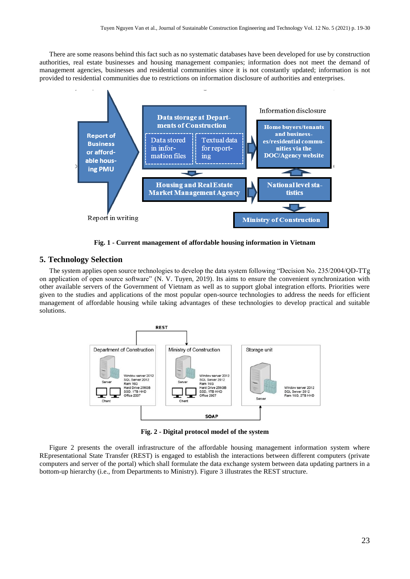There are some reasons behind this fact such as no systematic databases have been developed for use by construction authorities, real estate businesses and housing management companies; information does not meet the demand of management agencies, businesses and residential communities since it is not constantly updated; information is not provided to residential communities due to restrictions on information disclosure of authorities and enterprises.



**Fig. 1 - Current management of affordable housing information in Vietnam**

#### **5. Technology Selection**

The system applies open source technologies to develop the data system following "Decision No. 235/2004/QD-TTg on application of open source software" (N. V. Tuyen, 2019). Its aims to ensure the convenient synchronization with other available servers of the Government of Vietnam as well as to support global integration efforts. Priorities were given to the studies and applications of the most popular open-source technologies to address the needs for efficient management of affordable housing while taking advantages of these technologies to develop practical and suitable solutions.



**Fig. 2 - Digital protocol model of the system**

Figure 2 presents the overall infrastructure of the affordable housing management information system where REpresentational State Transfer (REST) is engaged to establish the interactions between different computers (private computers and server of the portal) which shall formulate the data exchange system between data updating partners in a bottom-up hierarchy (i.e., from Departments to Ministry). Figure 3 illustrates the REST structure.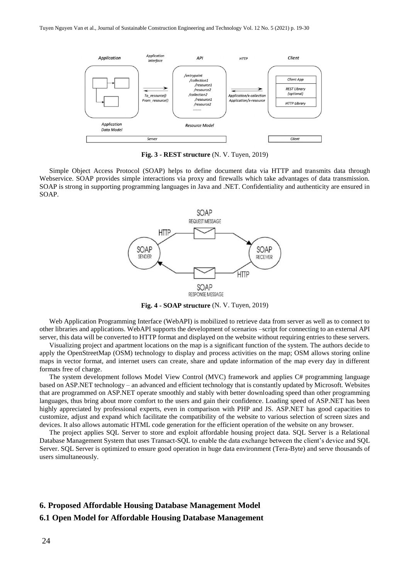

**Fig. 3 - REST structure** (N. V. Tuyen, 2019)

Simple Object Access Protocol (SOAP) helps to define document data via HTTP and transmits data through Webservice. SOAP provides simple interactions via proxy and firewalls which take advantages of data transmission. SOAP is strong in supporting programming languages in Java and .NET. Confidentiality and authenticity are ensured in SOAP.



**Fig. 4 - SOAP structure** (N. V. Tuyen, 2019)

Web Application Programming Interface (WebAPI) is mobilized to retrieve data from server as well as to connect to other libraries and applications. WebAPI supports the development of scenarios –script for connecting to an external API server, this data will be converted to HTTP format and displayed on the website without requiring entries to these servers.

Visualizing project and apartment locations on the map is a significant function of the system. The authors decide to apply the OpenStreetMap (OSM) technology to display and process activities on the map; OSM allows storing online maps in vector format, and internet users can create, share and update information of the map every day in different formats free of charge.

The system development follows Model View Control (MVC) framework and applies C# programming language based on ASP.NET technology – an advanced and efficient technology that is constantly updated by Microsoft. Websites that are programmed on ASP.NET operate smoothly and stably with better downloading speed than other programming languages, thus bring about more comfort to the users and gain their confidence. Loading speed of ASP.NET has been highly appreciated by professional experts, even in comparison with PHP and JS. ASP.NET has good capacities to customize, adjust and expand which facilitate the compatibility of the website to various selection of screen sizes and devices. It also allows automatic HTML code generation for the efficient operation of the website on any browser.

The project applies SQL Server to store and exploit affordable housing project data. SQL Server is a Relational Database Management System that uses Transact-SQL to enable the data exchange between the client's device and SQL Server. SQL Server is optimized to ensure good operation in huge data environment (Tera-Byte) and serve thousands of users simultaneously.

#### **6. Proposed Affordable Housing Database Management Model**

#### **6.1 Open Model for Affordable Housing Database Management**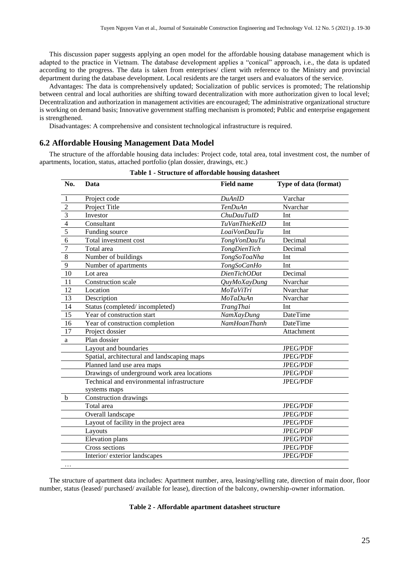This discussion paper suggests applying an open model for the affordable housing database management which is adapted to the practice in Vietnam. The database development applies a "conical" approach, i.e., the data is updated according to the progress. The data is taken from enterprises/ client with reference to the Ministry and provincial department during the database development. Local residents are the target users and evaluators of the service.

Advantages: The data is comprehensively updated; Socialization of public services is promoted; The relationship between central and local authorities are shifting toward decentralization with more authorization given to local level; Decentralization and authorization in management activities are encouraged; The administrative organizational structure is working on demand basis; Innovative government staffing mechanism is promoted; Public and enterprise engagement is strengthened.

Disadvantages: A comprehensive and consistent technological infrastructure is required.

#### **6.2 Affordable Housing Management Data Model**

The structure of the affordable housing data includes: Project code, total area, total investment cost, the number of apartments, location, status, attached portfolio (plan dossier, drawings, etc.)

| No.             | Data                                        | <b>Field name</b>    | Type of data (format) |
|-----------------|---------------------------------------------|----------------------|-----------------------|
| 1               | Project code                                | DuAnID               | Varchar               |
| $\overline{2}$  | Project Title                               | <b>TenDuAn</b>       | Nvarchar              |
| $\overline{3}$  | Investor                                    | <b>ChuDauTuID</b>    | Int                   |
| $\overline{4}$  | Consultant                                  | <b>TuVanThieKeID</b> | Int                   |
| 5               | Funding source                              | LoaiVonDauTu         | Int                   |
| 6               | Total investment cost                       | <b>TongVonDauTu</b>  | Decimal               |
| $\overline{7}$  | Total area                                  | <b>TongDienTich</b>  | Decimal               |
| $\overline{8}$  | Number of buildings                         | TongSoToaNha         | Int                   |
| $\overline{9}$  | Number of apartments                        | TongSoCanHo          | Int                   |
| $\overline{10}$ | Lot area                                    | DienTichODat         | Decimal               |
| 11              | Construction scale                          | QuyMoXayDung         | Nvarchar              |
| 12              | Location                                    | MoTaViTri            | Nvarchar              |
| $\overline{13}$ | Description                                 | <b>MoTaDuAn</b>      | Nvarchar              |
| 14              | Status (completed/incompleted)              | <b>TrangThai</b>     | Int                   |
| 15              | Year of construction start                  | <b>NamXayDung</b>    | <b>DateTime</b>       |
| 16              | Year of construction completion             | <b>NamHoanThanh</b>  | <b>DateTime</b>       |
| 17              | Project dossier                             |                      | Attachment            |
| $\mathbf{a}$    | Plan dossier                                |                      |                       |
|                 | Layout and boundaries                       |                      | JPEG/PDF              |
|                 | Spatial, architectural and landscaping maps |                      | JPEG/PDF              |
|                 | Planned land use area maps                  |                      | JPEG/PDF              |
|                 | Drawings of underground work area locations |                      | <b>JPEG/PDF</b>       |
|                 | Technical and environmental infrastructure  |                      | <b>JPEG/PDF</b>       |
|                 | systems maps                                |                      |                       |
| $\mathbf b$     | Construction drawings                       |                      |                       |
|                 | Total area                                  |                      | JPEG/PDF              |
|                 | Overall landscape                           |                      | JPEG/PDF              |
|                 | Layout of facility in the project area      |                      | JPEG/PDF              |
|                 | Layouts                                     |                      | <b>JPEG/PDF</b>       |
|                 | Elevation plans                             |                      | JPEG/PDF              |
|                 | Cross sections                              |                      | <b>JPEG/PDF</b>       |
|                 | Interior/exterior landscapes                |                      | JPEG/PDF              |
|                 |                                             |                      |                       |

|  |  |  |  | Table 1 - Structure of affordable housing datasheet |  |  |
|--|--|--|--|-----------------------------------------------------|--|--|
|--|--|--|--|-----------------------------------------------------|--|--|

The structure of apartment data includes: Apartment number, area, leasing/selling rate, direction of main door, floor number, status (leased/ purchased/ available for lease), direction of the balcony, ownership-owner information.

#### **Table 2 - Affordable apartment datasheet structure**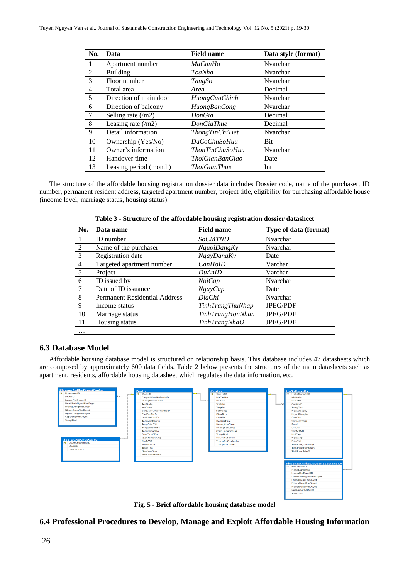| No.            | Data                        | <b>Field name</b>      | Data style (format) |
|----------------|-----------------------------|------------------------|---------------------|
|                | Apartment number            | <b>MaCanHo</b>         | Nvarchar            |
| 2              | Building                    | ToaNha                 | Nvarchar            |
| 3              | Floor number                | TangSo                 | Nvarchar            |
| $\overline{4}$ | Total area                  | Area                   | Decimal             |
| 5              | Direction of main door      | <b>HuongCuaChinh</b>   | Nvarchar            |
| 6              | Direction of balcony        | HuongBanCong           | Nvarchar            |
| 7              | Selling rate $(\text{/}m2)$ | DonGia                 | Decimal             |
| 8              | Leasing rate $(\text{/}m2)$ | <b>DonGiaThue</b>      | Decimal             |
| 9              | Detail information          | <b>ThongTinChiTiet</b> | Nvarchar            |
| 10             | Ownership (Yes/No)          | DaCoChuSoHuu           | <b>Bit</b>          |
| 11             | Owner's information         | <b>ThonTinChuSoHuu</b> | Nvarchar            |
| 12             | Handover time               | ThoiGianBanGiao        | Date                |
| 13             | Leasing period (month)      | <i>ThoiGianThue</i>    | Int                 |

The structure of the affordable housing registration dossier data includes Dossier code, name of the purchaser, ID number, permanent resident address, targeted apartment number, project title, eligibility for purchasing affordable house (income level, marriage status, housing status).

| No.            | Data name                            | <b>Field name</b>       | Type of data (format) |
|----------------|--------------------------------------|-------------------------|-----------------------|
|                | <b>ID</b> number                     | <b>SoCMTND</b>          | Nvarchar              |
| 2              | Name of the purchaser                | NguoiDangKy             | Nvarchar              |
| 3              | Registration date                    | <b>NgayDangKy</b>       | Date                  |
| $\overline{4}$ | Targeted apartment number            | CanHoID                 | Varchar               |
| 5              | Project                              | DuAnID                  | Varchar               |
| 6              | ID issued by                         | NoiCap                  | Nvarchar              |
|                | Date of ID issuance                  | $N$ gayCap              | Date                  |
| 8              | <b>Permanent Residential Address</b> | DiaChi                  | Nvarchar              |
| 9              | Income status                        | <b>TinhTrangThuNhap</b> | <b>JPEG/PDF</b>       |
| 10             | Marriage status                      | <b>TinhTrangHonNhan</b> | JPEG/PDF              |
| -11            | Housing status                       | TinhTrangNhaO           | <b>JPEG/PDF</b>       |
| $\cdots$       |                                      |                         |                       |

**Table 3 - Structure of the affordable housing registration dossier datasheet**

#### **6.3 Database Model**

Affordable housing database model is structured on relationship basis. This database includes 47 datasheets which are composed by approximately 600 data fields. Table 2 below presents the structures of the main datasheets such as apartment, residents, affordable housing datasheet which regulates the data information, etc.



**Fig. 5 - Brief affordable housing database model**

**6.4 Professional Procedures to Develop, Manage and Exploit Affordable Housing Information**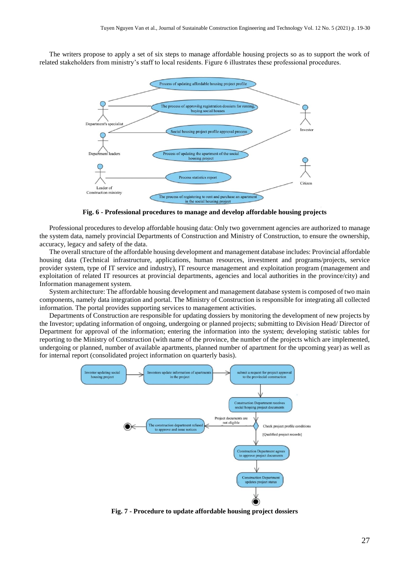The writers propose to apply a set of six steps to manage affordable housing projects so as to support the work of related stakeholders from ministry's staff to local residents. Figure 6 illustrates these professional procedures.



**Fig. 6 - Professional procedures to manage and develop affordable housing projects**

Professional procedures to develop affordable housing data: Only two government agencies are authorized to manage the system data, namely provincial Departments of Construction and Ministry of Construction, to ensure the ownership, accuracy, legacy and safety of the data.

The overall structure of the affordable housing development and management database includes: Provincial affordable housing data (Technical infrastructure, applications, human resources, investment and programs/projects, service provider system, type of IT service and industry), IT resource management and exploitation program (management and exploitation of related IT resources at provincial departments, agencies and local authorities in the province/city) and Information management system.

System architecture: The affordable housing development and management database system is composed of two main components, namely data integration and portal. The Ministry of Construction is responsible for integrating all collected information. The portal provides supporting services to management activities.

Departments of Construction are responsible for updating dossiers by monitoring the development of new projects by the Investor; updating information of ongoing, undergoing or planned projects; submitting to Division Head/ Director of Department for approval of the information; entering the information into the system; developing statistic tables for reporting to the Ministry of Construction (with name of the province, the number of the projects which are implemented, undergoing or planned, number of available apartments, planned number of apartment for the upcoming year) as well as for internal report (consolidated project information on quarterly basis).



**Fig. 7 - Procedure to update affordable housing project dossiers**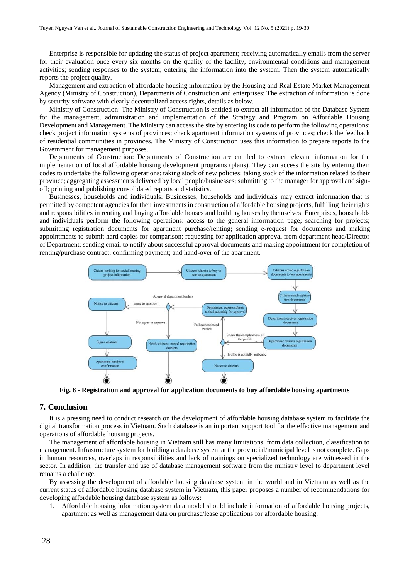Enterprise is responsible for updating the status of project apartment; receiving automatically emails from the server for their evaluation once every six months on the quality of the facility, environmental conditions and management activities; sending responses to the system; entering the information into the system. Then the system automatically reports the project quality.

Management and extraction of affordable housing information by the Housing and Real Estate Market Management Agency (Ministry of Construction), Departments of Construction and enterprises: The extraction of information is done by security software with clearly decentralized access rights, details as below.

Ministry of Construction: The Ministry of Construction is entitled to extract all information of the Database System for the management, administration and implementation of the Strategy and Program on Affordable Housing Development and Management. The Ministry can access the site by entering its code to perform the following operations: check project information systems of provinces; check apartment information systems of provinces; check the feedback of residential communities in provinces. The Ministry of Construction uses this information to prepare reports to the Government for management purposes.

Departments of Construction: Departments of Construction are entitled to extract relevant information for the implementation of local affordable housing development programs (plans). They can access the site by entering their codes to undertake the following operations: taking stock of new policies; taking stock of the information related to their province; aggregating assessments delivered by local people/businesses; submitting to the manager for approval and signoff; printing and publishing consolidated reports and statistics.

Businesses, households and individuals: Businesses, households and individuals may extract information that is permitted by competent agencies for their investments in construction of affordable housing projects, fulfilling their rights and responsibilities in renting and buying affordable houses and building houses by themselves. Enterprises, households and individuals perform the following operations: access to the general information page; searching for projects; submitting registration documents for apartment purchase/renting; sending e-request for documents and making appointments to submit hard copies for comparison; requesting for application approval from department head/Director of Department; sending email to notify about successful approval documents and making appointment for completion of renting/purchase contract; confirming payment; and hand-over of the apartment.



**Fig. 8 - Registration and approval for application documents to buy affordable housing apartments**

#### **7. Conclusion**

It is a pressing need to conduct research on the development of affordable housing database system to facilitate the digital transformation process in Vietnam. Such database is an important support tool for the effective management and operations of affordable housing projects.

The management of affordable housing in Vietnam still has many limitations, from data collection, classification to management. Infrastructure system for building a database system at the provincial/municipal level is not complete. Gaps in human resources, overlaps in responsibilities and lack of trainings on specialized technology are witnessed in the sector. In addition, the transfer and use of database management software from the ministry level to department level remains a challenge.

By assessing the development of affordable housing database system in the world and in Vietnam as well as the current status of affordable housing database system in Vietnam, this paper proposes a number of recommendations for developing affordable housing database system as follows:

1. Affordable housing information system data model should include information of affordable housing projects, apartment as well as management data on purchase/lease applications for affordable housing.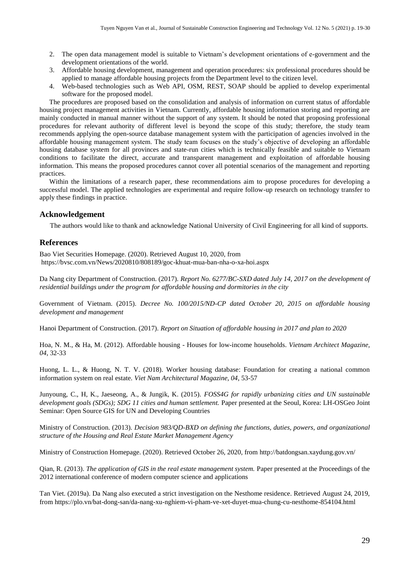- 2. The open data management model is suitable to Vietnam's development orientations of e-government and the development orientations of the world.
- 3. Affordable housing development, management and operation procedures: six professional procedures should be applied to manage affordable housing projects from the Department level to the citizen level.
- 4. Web-based technologies such as Web API, OSM, REST, SOAP should be applied to develop experimental software for the proposed model.

The procedures are proposed based on the consolidation and analysis of information on current status of affordable housing project management activities in Vietnam. Currently, affordable housing information storing and reporting are mainly conducted in manual manner without the support of any system. It should be noted that proposing professional procedures for relevant authority of different level is beyond the scope of this study; therefore, the study team recommends applying the open-source database management system with the participation of agencies involved in the affordable housing management system. The study team focuses on the study's objective of developing an affordable housing database system for all provinces and state-run cities which is technically feasible and suitable to Vietnam conditions to facilitate the direct, accurate and transparent management and exploitation of affordable housing information. This means the proposed procedures cannot cover all potential scenarios of the management and reporting practices.

Within the limitations of a research paper, these recommendations aim to propose procedures for developing a successful model. The applied technologies are experimental and require follow-up research on technology transfer to apply these findings in practice.

#### **Acknowledgement**

The authors would like to thank and acknowledge National University of Civil Engineering for all kind of supports.

#### **References**

Bao Viet Securities Homepage. (2020). Retrieved August 10, 2020, from <https://bvsc.com.vn/News/2020810/808189/goc-khuat-mua-ban-nha-o-xa-hoi.aspx>

Da Nang city Department of Construction. (2017). *Report No. 6277/BC-SXD dated July 14, 2017 on the development of residential buildings under the program for affordable housing and dormitories in the city*

Government of Vietnam. (2015). *Decree No. 100/2015/ND-CP dated October 20, 2015 on affordable housing development and management*

Hanoi Department of Construction. (2017). *Report on Situation of affordable housing in 2017 and plan to 2020*

Hoa, N. M., & Ha, M. (2012). Affordable housing - Houses for low-income households. *Vietnam Architect Magazine, 04*, 32-33

Huong, L. L., & Huong, N. T. V. (2018). Worker housing database: Foundation for creating a national common information system on real estate. *Viet Nam Architectural Magazine, 04*, 53-57

Junyoung, C., H, K., Jaeseong, A., & Jungik, K. (2015). *FOSS4G for rapidly urbanizing cities and UN sustainable development goals (SDGs); SDG 11 cities and human settlement.* Paper presented at the Seoul, Korea: LH-OSGeo Joint Seminar: Open Source GIS for UN and Developing Countries

Ministry of Construction. (2013). *Decision 983/QD-BXD on defining the functions, duties, powers, and organizational structure of the Housing and Real Estate Market Management Agency*

Ministry of Construction Homepage. (2020). Retrieved October 26, 2020, from<http://batdongsan.xaydung.gov.vn/>

Qian, R. (2013). *The application of GIS in the real estate management system.* Paper presented at the Proceedings of the 2012 international conference of modern computer science and applications

Tan Viet. (2019a). Da Nang also executed a strict investigation on the Nesthome residence. Retrieved August 24, 2019, fro[m https://plo.vn/bat-dong-san/da-nang-xu-nghiem-vi-pham-ve-xet-duyet-mua-chung-cu-nesthome-854104.html](https://plo.vn/bat-dong-san/da-nang-xu-nghiem-vi-pham-ve-xet-duyet-mua-chung-cu-nesthome-854104.html)